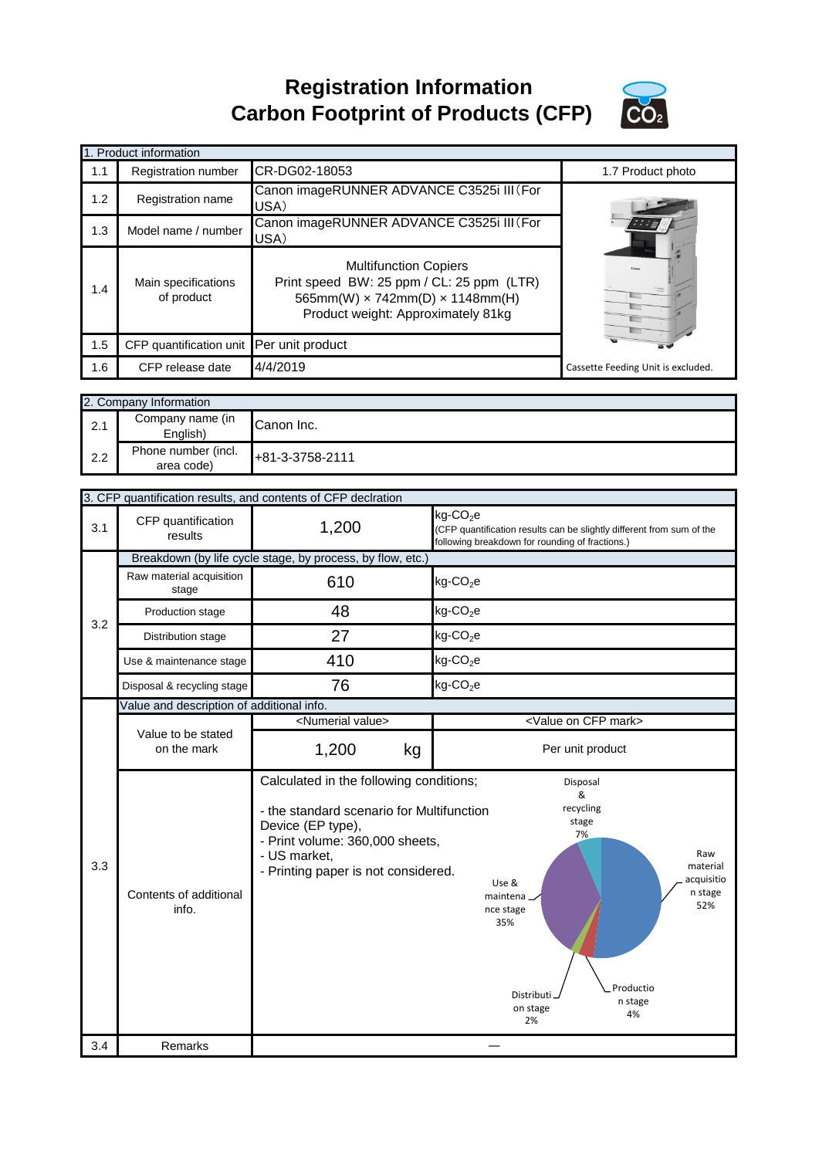**Registration Information Carbon Footprint of Products (CFP)**



|     | 1. Product information                   |                                                                                                                                                                  |                                    |
|-----|------------------------------------------|------------------------------------------------------------------------------------------------------------------------------------------------------------------|------------------------------------|
| 1.1 | <b>Registration number</b>               | CR-DG02-18053                                                                                                                                                    | 1.7 Product photo                  |
| 1.2 | Registration name                        | Canon imageRUNNER ADVANCE C3525i III (For<br>USA)                                                                                                                |                                    |
| 1.3 | Model name / number                      | Canon imageRUNNER ADVANCE C3525i III (For<br>USA)                                                                                                                |                                    |
| 1.4 | Main specifications<br>of product        | <b>Multifunction Copiers</b><br>Print speed BW: 25 ppm / CL: 25 ppm (LTR)<br>565mm(W) $\times$ 742mm(D) $\times$ 1148mm(H)<br>Product weight: Approximately 81kg | <b>Text</b>                        |
| 1.5 | CFP quantification unit Per unit product |                                                                                                                                                                  |                                    |
| 1.6 | CFP release date                         | 4/4/2019                                                                                                                                                         | Cassette Feeding Unit is excluded. |

|     | 2. Company Information            |                 |  |
|-----|-----------------------------------|-----------------|--|
| 2.1 | Company name (in<br>English)      | Canon Inc.      |  |
| 2.2 | Phone number (incl.<br>area code) | +81-3-3758-2111 |  |

|            | 3. CFP quantification results, and contents of CFP declration |                                                                                                                                                          |                                                                                                                                                                                     |  |  |
|------------|---------------------------------------------------------------|----------------------------------------------------------------------------------------------------------------------------------------------------------|-------------------------------------------------------------------------------------------------------------------------------------------------------------------------------------|--|--|
| 3.1        | CFP quantification<br>results                                 | 1,200                                                                                                                                                    | $kg$ -CO <sub>2</sub> e<br>(CFP quantification results can be slightly different from sum of the<br>following breakdown for rounding of fractions.)                                 |  |  |
|            |                                                               | Breakdown (by life cycle stage, by process, by flow, etc.)                                                                                               |                                                                                                                                                                                     |  |  |
|            | Raw material acquisition<br>stage                             | 610                                                                                                                                                      | $kg$ -CO <sub>2</sub> e                                                                                                                                                             |  |  |
| 3.2        | Production stage                                              | 48                                                                                                                                                       | $kg$ -CO <sub>2</sub> e                                                                                                                                                             |  |  |
|            | Distribution stage                                            | 27                                                                                                                                                       | $kg$ -CO <sub>2</sub> e                                                                                                                                                             |  |  |
|            | Use & maintenance stage                                       | 410                                                                                                                                                      | $kg$ -CO <sub>2</sub> e                                                                                                                                                             |  |  |
|            | Disposal & recycling stage                                    | 76                                                                                                                                                       | $kg$ -CO <sub>2</sub> e                                                                                                                                                             |  |  |
|            | Value and description of additional info.                     |                                                                                                                                                          |                                                                                                                                                                                     |  |  |
|            |                                                               | <numerial value=""></numerial>                                                                                                                           | <value cfp="" mark="" on=""></value>                                                                                                                                                |  |  |
|            | Value to be stated<br>on the mark                             | 1,200<br>kg                                                                                                                                              | Per unit product                                                                                                                                                                    |  |  |
|            |                                                               | Calculated in the following conditions;                                                                                                                  | Disposal<br>&                                                                                                                                                                       |  |  |
| 3.3<br>3.4 | Contents of additional<br>info.<br>Remarks                    | - the standard scenario for Multifunction<br>Device (EP type),<br>- Print volume: 360,000 sheets,<br>- US market,<br>- Printing paper is not considered. | recycling<br>stage<br>7%<br>Raw<br>material<br>acquisitio<br>Use &<br>n stage<br>maintena.<br>52%<br>nce stage<br>35%<br>Productio<br>Distributi<br>n stage<br>on stage<br>4%<br>2% |  |  |